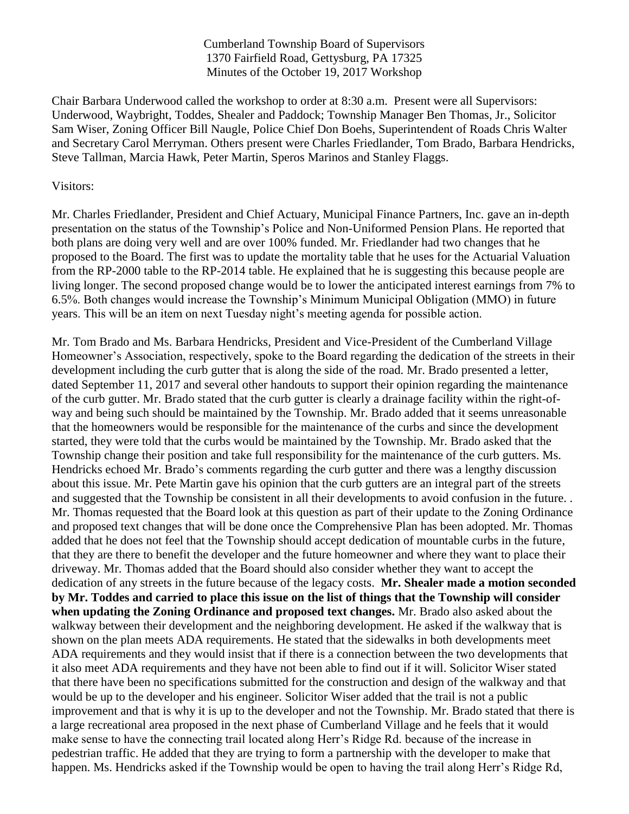Cumberland Township Board of Supervisors 1370 Fairfield Road, Gettysburg, PA 17325 Minutes of the October 19, 2017 Workshop

Chair Barbara Underwood called the workshop to order at 8:30 a.m. Present were all Supervisors: Underwood, Waybright, Toddes, Shealer and Paddock; Township Manager Ben Thomas, Jr., Solicitor Sam Wiser, Zoning Officer Bill Naugle, Police Chief Don Boehs, Superintendent of Roads Chris Walter and Secretary Carol Merryman. Others present were Charles Friedlander, Tom Brado, Barbara Hendricks, Steve Tallman, Marcia Hawk, Peter Martin, Speros Marinos and Stanley Flaggs.

## Visitors:

Mr. Charles Friedlander, President and Chief Actuary, Municipal Finance Partners, Inc. gave an in-depth presentation on the status of the Township's Police and Non-Uniformed Pension Plans. He reported that both plans are doing very well and are over 100% funded. Mr. Friedlander had two changes that he proposed to the Board. The first was to update the mortality table that he uses for the Actuarial Valuation from the RP-2000 table to the RP-2014 table. He explained that he is suggesting this because people are living longer. The second proposed change would be to lower the anticipated interest earnings from 7% to 6.5%. Both changes would increase the Township's Minimum Municipal Obligation (MMO) in future years. This will be an item on next Tuesday night's meeting agenda for possible action.

Mr. Tom Brado and Ms. Barbara Hendricks, President and Vice-President of the Cumberland Village Homeowner's Association, respectively, spoke to the Board regarding the dedication of the streets in their development including the curb gutter that is along the side of the road. Mr. Brado presented a letter, dated September 11, 2017 and several other handouts to support their opinion regarding the maintenance of the curb gutter. Mr. Brado stated that the curb gutter is clearly a drainage facility within the right-ofway and being such should be maintained by the Township. Mr. Brado added that it seems unreasonable that the homeowners would be responsible for the maintenance of the curbs and since the development started, they were told that the curbs would be maintained by the Township. Mr. Brado asked that the Township change their position and take full responsibility for the maintenance of the curb gutters. Ms. Hendricks echoed Mr. Brado's comments regarding the curb gutter and there was a lengthy discussion about this issue. Mr. Pete Martin gave his opinion that the curb gutters are an integral part of the streets and suggested that the Township be consistent in all their developments to avoid confusion in the future. . Mr. Thomas requested that the Board look at this question as part of their update to the Zoning Ordinance and proposed text changes that will be done once the Comprehensive Plan has been adopted. Mr. Thomas added that he does not feel that the Township should accept dedication of mountable curbs in the future, that they are there to benefit the developer and the future homeowner and where they want to place their driveway. Mr. Thomas added that the Board should also consider whether they want to accept the dedication of any streets in the future because of the legacy costs. **Mr. Shealer made a motion seconded by Mr. Toddes and carried to place this issue on the list of things that the Township will consider when updating the Zoning Ordinance and proposed text changes.** Mr. Brado also asked about the walkway between their development and the neighboring development. He asked if the walkway that is shown on the plan meets ADA requirements. He stated that the sidewalks in both developments meet ADA requirements and they would insist that if there is a connection between the two developments that it also meet ADA requirements and they have not been able to find out if it will. Solicitor Wiser stated that there have been no specifications submitted for the construction and design of the walkway and that would be up to the developer and his engineer. Solicitor Wiser added that the trail is not a public improvement and that is why it is up to the developer and not the Township. Mr. Brado stated that there is a large recreational area proposed in the next phase of Cumberland Village and he feels that it would make sense to have the connecting trail located along Herr's Ridge Rd. because of the increase in pedestrian traffic. He added that they are trying to form a partnership with the developer to make that happen. Ms. Hendricks asked if the Township would be open to having the trail along Herr's Ridge Rd,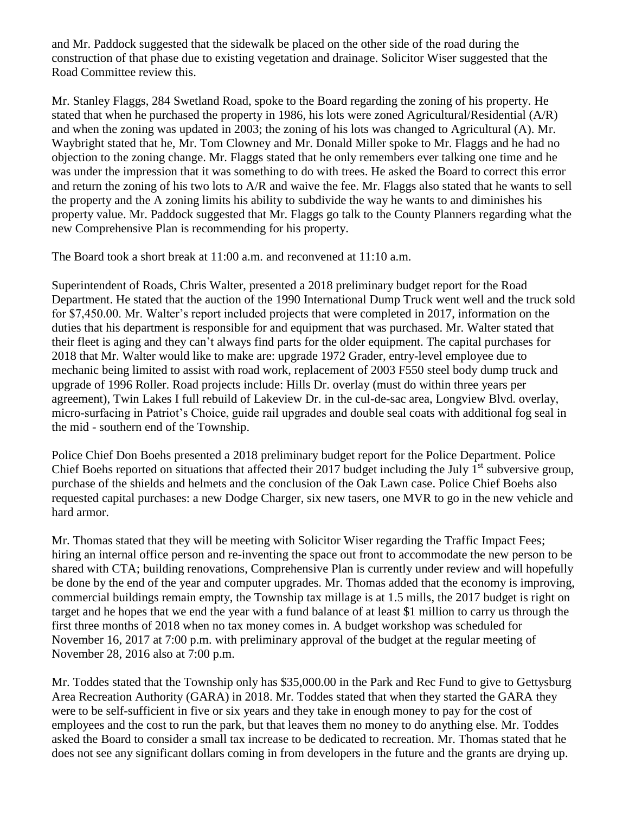and Mr. Paddock suggested that the sidewalk be placed on the other side of the road during the construction of that phase due to existing vegetation and drainage. Solicitor Wiser suggested that the Road Committee review this.

Mr. Stanley Flaggs, 284 Swetland Road, spoke to the Board regarding the zoning of his property. He stated that when he purchased the property in 1986, his lots were zoned Agricultural/Residential (A/R) and when the zoning was updated in 2003; the zoning of his lots was changed to Agricultural (A). Mr. Waybright stated that he, Mr. Tom Clowney and Mr. Donald Miller spoke to Mr. Flaggs and he had no objection to the zoning change. Mr. Flaggs stated that he only remembers ever talking one time and he was under the impression that it was something to do with trees. He asked the Board to correct this error and return the zoning of his two lots to A/R and waive the fee. Mr. Flaggs also stated that he wants to sell the property and the A zoning limits his ability to subdivide the way he wants to and diminishes his property value. Mr. Paddock suggested that Mr. Flaggs go talk to the County Planners regarding what the new Comprehensive Plan is recommending for his property.

The Board took a short break at 11:00 a.m. and reconvened at 11:10 a.m.

Superintendent of Roads, Chris Walter, presented a 2018 preliminary budget report for the Road Department. He stated that the auction of the 1990 International Dump Truck went well and the truck sold for \$7,450.00. Mr. Walter's report included projects that were completed in 2017, information on the duties that his department is responsible for and equipment that was purchased. Mr. Walter stated that their fleet is aging and they can't always find parts for the older equipment. The capital purchases for 2018 that Mr. Walter would like to make are: upgrade 1972 Grader, entry-level employee due to mechanic being limited to assist with road work, replacement of 2003 F550 steel body dump truck and upgrade of 1996 Roller. Road projects include: Hills Dr. overlay (must do within three years per agreement), Twin Lakes I full rebuild of Lakeview Dr. in the cul-de-sac area, Longview Blvd. overlay, micro-surfacing in Patriot's Choice, guide rail upgrades and double seal coats with additional fog seal in the mid - southern end of the Township.

Police Chief Don Boehs presented a 2018 preliminary budget report for the Police Department. Police Chief Boehs reported on situations that affected their 2017 budget including the July  $1<sup>st</sup>$  subversive group, purchase of the shields and helmets and the conclusion of the Oak Lawn case. Police Chief Boehs also requested capital purchases: a new Dodge Charger, six new tasers, one MVR to go in the new vehicle and hard armor.

Mr. Thomas stated that they will be meeting with Solicitor Wiser regarding the Traffic Impact Fees; hiring an internal office person and re-inventing the space out front to accommodate the new person to be shared with CTA; building renovations, Comprehensive Plan is currently under review and will hopefully be done by the end of the year and computer upgrades. Mr. Thomas added that the economy is improving, commercial buildings remain empty, the Township tax millage is at 1.5 mills, the 2017 budget is right on target and he hopes that we end the year with a fund balance of at least \$1 million to carry us through the first three months of 2018 when no tax money comes in. A budget workshop was scheduled for November 16, 2017 at 7:00 p.m. with preliminary approval of the budget at the regular meeting of November 28, 2016 also at 7:00 p.m.

Mr. Toddes stated that the Township only has \$35,000.00 in the Park and Rec Fund to give to Gettysburg Area Recreation Authority (GARA) in 2018. Mr. Toddes stated that when they started the GARA they were to be self-sufficient in five or six years and they take in enough money to pay for the cost of employees and the cost to run the park, but that leaves them no money to do anything else. Mr. Toddes asked the Board to consider a small tax increase to be dedicated to recreation. Mr. Thomas stated that he does not see any significant dollars coming in from developers in the future and the grants are drying up.